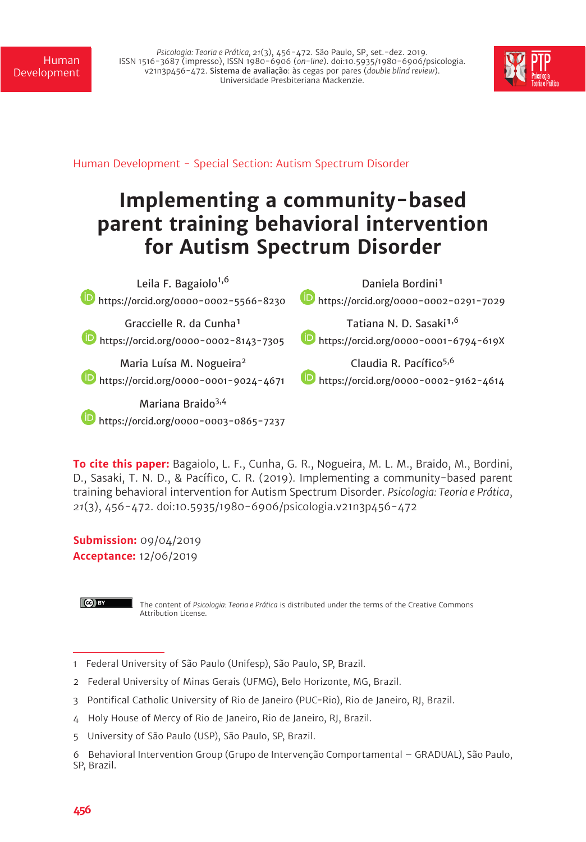*Psicologia: Teoria e Prática, 21*(3), 456-472. São Paulo, SP, set.-dez. 2019. ISSN 1516-3687 (impresso), ISSN 1980-6906 (*on-line*). doi:10.5935/1980-6906/psicologia. v21n3p456-472. Sistema de avaliação: às cegas por pares (*double blind review*). Universidade Presbiteriana Mackenzie.



Human Development - Special Section: Autism Spectrum Disorder

# **Implementing a community-based parent training behavioral intervention for Autism Spectrum Disorder**

| Leila F. Bagaiolo <sup>1,6</sup>                                       | Daniela Bordini <sup>1</sup>                         |
|------------------------------------------------------------------------|------------------------------------------------------|
| https://orcid.org/0000-0002-5566-8230                                  | https://orcid.org/0000-0002-0291-7029                |
| Graccielle R. da Cunha <sup>1</sup>                                    | Tatiana N. D. Sasaki <sup>1,6</sup>                  |
| https://orcid.org/0000-0002-8143-7305                                  | https://orcid.org/0000-0001-6794-619X                |
| Maria Luísa M. Nogueira <sup>2</sup>                                   | Claudia R. Pacífico <sup>5,6</sup>                   |
| https://orcid.org/0000-0001-9024-4671                                  | $\blacksquare$ https://orcid.org/0000-0002-9162-4614 |
| Mariana Braido <sup>3,4</sup><br>https://orcid.org/0000-0003-0865-7237 |                                                      |

**To cite this paper:** Bagaiolo, L. F., Cunha, G. R., Nogueira, M. L. M., Braido, M., Bordini, D., Sasaki, T. N. D., & Pacífico, C. R. (2019). Implementing a community-based parent training behavioral intervention for Autism Spectrum Disorder. *Psicologia: Teoria e Prática*, *21*(3), 456-472. doi:10.5935/1980-6906/psicologia.v21n3p456-472

**Submission:** 09/04/2019 **Acceptance:** 12/06/2019

 $\left($ ce $\right)$  EY

The content of *Psicologia: Teoria e Prática* is distributed under the terms of the Creative Commons Attribution License.

<sup>1</sup> Federal University of São Paulo (Unifesp), São Paulo, SP, Brazil.

<sup>2</sup> Federal University of Minas Gerais (UFMG), Belo Horizonte, MG, Brazil.

<sup>3</sup> Pontifical Catholic University of Rio de Janeiro (PUC-Rio), Rio de Janeiro, RJ, Brazil.

<sup>4</sup> Holy House of Mercy of Rio de Janeiro, Rio de Janeiro, RJ, Brazil.

<sup>5</sup> University of São Paulo (USP), São Paulo, SP, Brazil.

<sup>6</sup> Behavioral Intervention Group (Grupo de Intervenção Comportamental – GRADUAL), São Paulo, SP, Brazil.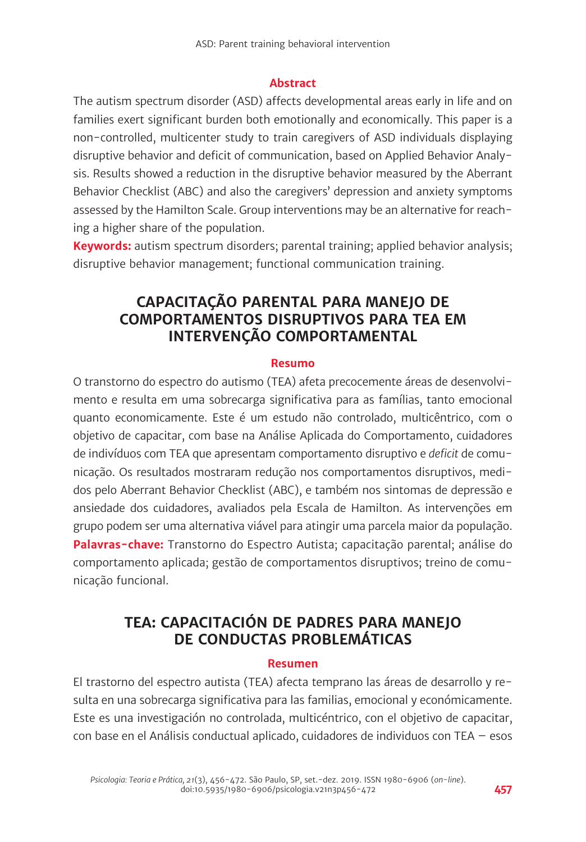#### **Abstract**

The autism spectrum disorder (ASD) affects developmental areas early in life and on families exert significant burden both emotionally and economically. This paper is a non-controlled, multicenter study to train caregivers of ASD individuals displaying disruptive behavior and deficit of communication, based on Applied Behavior Analysis. Results showed a reduction in the disruptive behavior measured by the Aberrant Behavior Checklist (ABC) and also the caregivers' depression and anxiety symptoms assessed by the Hamilton Scale. Group interventions may be an alternative for reaching a higher share of the population.

**Keywords:** autism spectrum disorders; parental training; applied behavior analysis; disruptive behavior management; functional communication training.

# **CAPACITAÇÃO PARENTAL PARA MANEJO DE COMPORTAMENTOS DISRUPTIVOS PARA TEA EM INTERVENÇÃO COMPORTAMENTAL**

#### **Resumo**

O transtorno do espectro do autismo (TEA) afeta precocemente áreas de desenvolvimento e resulta em uma sobrecarga significativa para as famílias, tanto emocional quanto economicamente. Este é um estudo não controlado, multicêntrico, com o objetivo de capacitar, com base na Análise Aplicada do Comportamento, cuidadores de indivíduos com TEA que apresentam comportamento disruptivo e *deficit* de comunicação. Os resultados mostraram redução nos comportamentos disruptivos, medidos pelo Aberrant Behavior Checklist (ABC), e também nos sintomas de depressão e ansiedade dos cuidadores, avaliados pela Escala de Hamilton. As intervenções em grupo podem ser uma alternativa viável para atingir uma parcela maior da população. **Palavras-chave:** Transtorno do Espectro Autista; capacitação parental; análise do comportamento aplicada; gestão de comportamentos disruptivos; treino de comunicação funcional.

# **TEA: CAPACITACIÓN DE PADRES PARA MANEJO DE CONDUCTAS PROBLEMÁTICAS**

#### **Resumen**

El trastorno del espectro autista (TEA) afecta temprano las áreas de desarrollo y resulta en una sobrecarga significativa para las familias, emocional y económicamente. Este es una investigación no controlada, multicéntrico, con el objetivo de capacitar, con base en el Análisis conductual aplicado, cuidadores de individuos con TEA – esos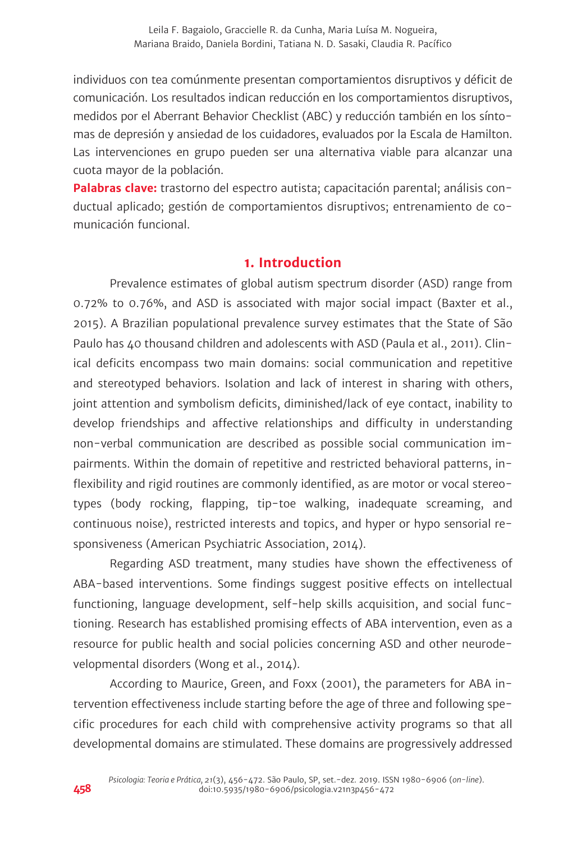individuos con tea comúnmente presentan comportamientos disruptivos y déficit de comunicación. Los resultados indican reducción en los comportamientos disruptivos, medidos por el Aberrant Behavior Checklist (ABC) y reducción también en los síntomas de depresión y ansiedad de los cuidadores, evaluados por la Escala de Hamilton. Las intervenciones en grupo pueden ser una alternativa viable para alcanzar una cuota mayor de la población.

**Palabras clave:** trastorno del espectro autista; capacitación parental; análisis conductual aplicado; gestión de comportamientos disruptivos; entrenamiento de comunicación funcional.

## **1. Introduction**

Prevalence estimates of global autism spectrum disorder (ASD) range from 0.72% to 0.76%, and ASD is associated with major social impact (Baxter et al., 2015). A Brazilian populational prevalence survey estimates that the State of São Paulo has 40 thousand children and adolescents with ASD (Paula et al., 2011). Clinical deficits encompass two main domains: social communication and repetitive and stereotyped behaviors. Isolation and lack of interest in sharing with others, joint attention and symbolism deficits, diminished/lack of eye contact, inability to develop friendships and affective relationships and difficulty in understanding non-verbal communication are described as possible social communication impairments. Within the domain of repetitive and restricted behavioral patterns, inflexibility and rigid routines are commonly identified, as are motor or vocal stereotypes (body rocking, flapping, tip-toe walking, inadequate screaming, and continuous noise), restricted interests and topics, and hyper or hypo sensorial responsiveness (American Psychiatric Association, 2014).

Regarding ASD treatment, many studies have shown the effectiveness of ABA-based interventions. Some findings suggest positive effects on intellectual functioning, language development, self-help skills acquisition, and social functioning. Research has established promising effects of ABA intervention, even as a resource for public health and social policies concerning ASD and other neurodevelopmental disorders (Wong et al., 2014).

According to Maurice, Green, and Foxx (2001), the parameters for ABA intervention effectiveness include starting before the age of three and following specific procedures for each child with comprehensive activity programs so that all developmental domains are stimulated. These domains are progressively addressed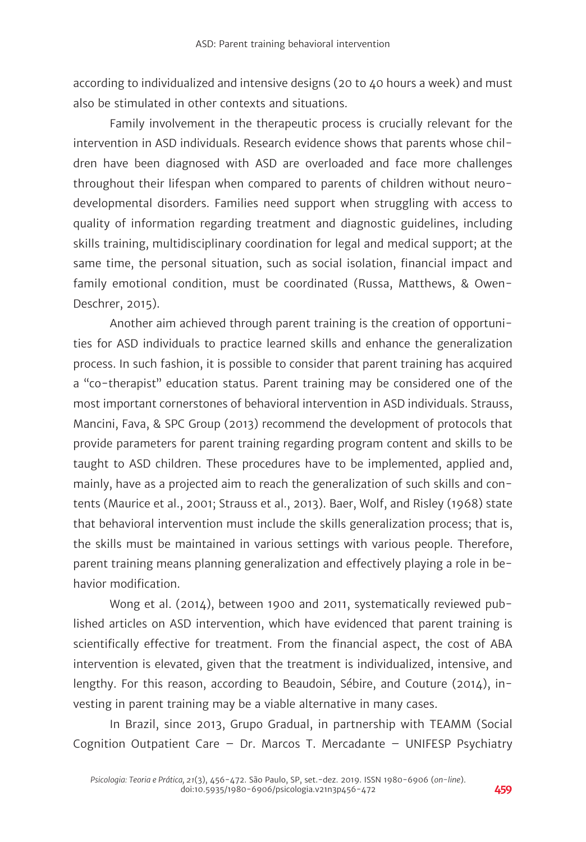according to individualized and intensive designs (20 to 40 hours a week) and must also be stimulated in other contexts and situations.

Family involvement in the therapeutic process is crucially relevant for the intervention in ASD individuals. Research evidence shows that parents whose children have been diagnosed with ASD are overloaded and face more challenges throughout their lifespan when compared to parents of children without neurodevelopmental disorders. Families need support when struggling with access to quality of information regarding treatment and diagnostic guidelines, including skills training, multidisciplinary coordination for legal and medical support; at the same time, the personal situation, such as social isolation, financial impact and family emotional condition, must be coordinated (Russa, Matthews, & Owen-Deschrer, 2015).

Another aim achieved through parent training is the creation of opportunities for ASD individuals to practice learned skills and enhance the generalization process. In such fashion, it is possible to consider that parent training has acquired a "co-therapist" education status. Parent training may be considered one of the most important cornerstones of behavioral intervention in ASD individuals. Strauss, Mancini, Fava, & SPC Group (2013) recommend the development of protocols that provide parameters for parent training regarding program content and skills to be taught to ASD children. These procedures have to be implemented, applied and, mainly, have as a projected aim to reach the generalization of such skills and contents (Maurice et al., 2001; Strauss et al., 2013). Baer, Wolf, and Risley (1968) state that behavioral intervention must include the skills generalization process; that is, the skills must be maintained in various settings with various people. Therefore, parent training means planning generalization and effectively playing a role in behavior modification.

Wong et al. (2014), between 1900 and 2011, systematically reviewed published articles on ASD intervention, which have evidenced that parent training is scientifically effective for treatment. From the financial aspect, the cost of ABA intervention is elevated, given that the treatment is individualized, intensive, and lengthy. For this reason, according to Beaudoin, Sébire, and Couture (2014), investing in parent training may be a viable alternative in many cases.

In Brazil, since 2013, Grupo Gradual, in partnership with TEAMM (Social Cognition Outpatient Care – Dr. Marcos T. Mercadante – UNIFESP Psychiatry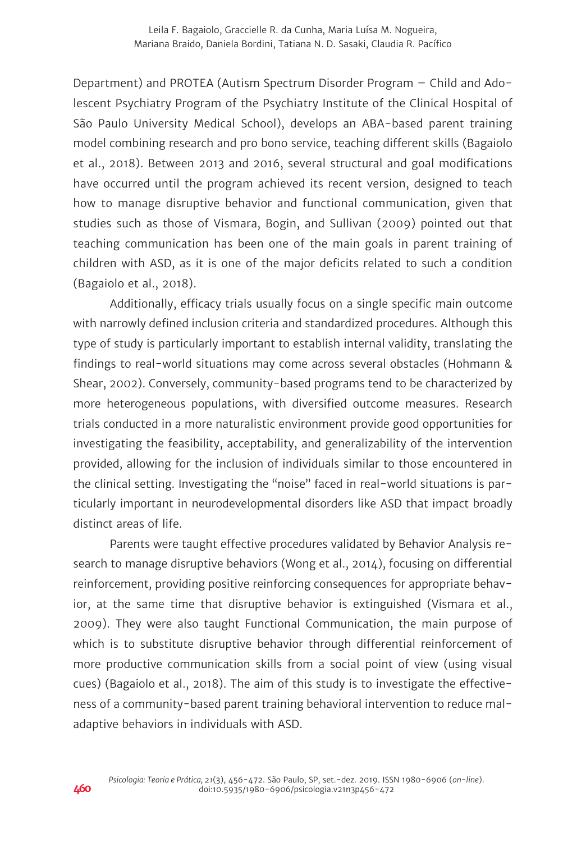Department) and PROTEA (Autism Spectrum Disorder Program – Child and Adolescent Psychiatry Program of the Psychiatry Institute of the Clinical Hospital of São Paulo University Medical School), develops an ABA-based parent training model combining research and pro bono service, teaching different skills (Bagaiolo et al., 2018). Between 2013 and 2016, several structural and goal modifications have occurred until the program achieved its recent version, designed to teach how to manage disruptive behavior and functional communication, given that studies such as those of Vismara, Bogin, and Sullivan (2009) pointed out that teaching communication has been one of the main goals in parent training of children with ASD, as it is one of the major deficits related to such a condition (Bagaiolo et al., 2018).

Additionally, efficacy trials usually focus on a single specific main outcome with narrowly defined inclusion criteria and standardized procedures. Although this type of study is particularly important to establish internal validity, translating the findings to real-world situations may come across several obstacles (Hohmann & Shear, 2002). Conversely, community-based programs tend to be characterized by more heterogeneous populations, with diversified outcome measures. Research trials conducted in a more naturalistic environment provide good opportunities for investigating the feasibility, acceptability, and generalizability of the intervention provided, allowing for the inclusion of individuals similar to those encountered in the clinical setting. Investigating the "noise" faced in real-world situations is particularly important in neurodevelopmental disorders like ASD that impact broadly distinct areas of life.

Parents were taught effective procedures validated by Behavior Analysis research to manage disruptive behaviors (Wong et al., 2014), focusing on differential reinforcement, providing positive reinforcing consequences for appropriate behavior, at the same time that disruptive behavior is extinguished (Vismara et al., 2009). They were also taught Functional Communication, the main purpose of which is to substitute disruptive behavior through differential reinforcement of more productive communication skills from a social point of view (using visual cues) (Bagaiolo et al., 2018). The aim of this study is to investigate the effectiveness of a community-based parent training behavioral intervention to reduce maladaptive behaviors in individuals with ASD.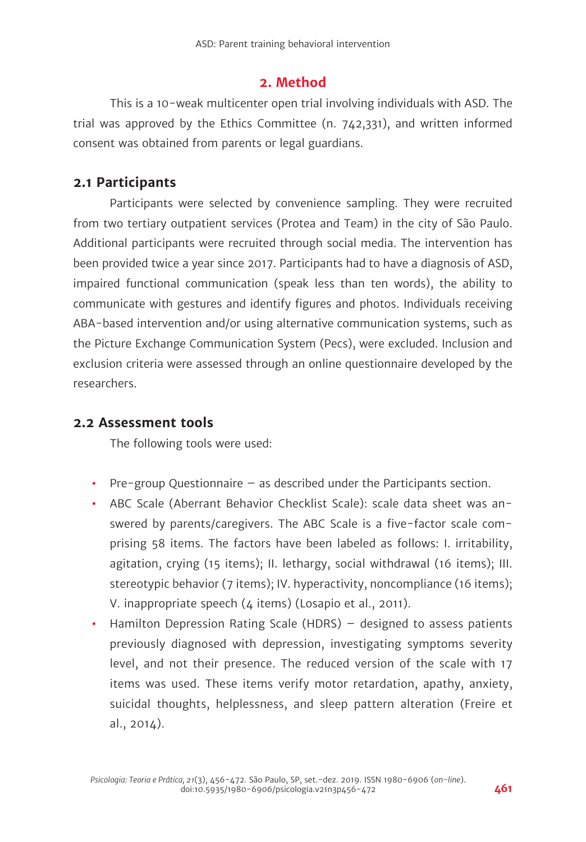#### **2. Method**

This is a 10-weak multicenter open trial involving individuals with ASD. The trial was approved by the Ethics Committee (n. 742,331), and written informed consent was obtained from parents or legal guardians.

## **2.1 Participants**

Participants were selected by convenience sampling. They were recruited from two tertiary outpatient services (Protea and Team) in the city of São Paulo. Additional participants were recruited through social media. The intervention has been provided twice a year since 2017. Participants had to have a diagnosis of ASD, impaired functional communication (speak less than ten words), the ability to communicate with gestures and identify figures and photos. Individuals receiving ABA-based intervention and/or using alternative communication systems, such as the Picture Exchange Communication System (Pecs), were excluded. Inclusion and exclusion criteria were assessed through an online questionnaire developed by the researchers.

## **2.2 Assessment tools**

The following tools were used:

- **•** Pre-group Questionnaire as described under the Participants section.
- **•** ABC Scale (Aberrant Behavior Checklist Scale): scale data sheet was answered by parents/caregivers. The ABC Scale is a five-factor scale comprising 58 items. The factors have been labeled as follows: I. irritability, agitation, crying (15 items); II. lethargy, social withdrawal (16 items); III. stereotypic behavior (7 items); IV. hyperactivity, noncompliance (16 items); V. inappropriate speech (4 items) (Losapio et al., 2011).
- **•** Hamilton Depression Rating Scale (HDRS) designed to assess patients previously diagnosed with depression, investigating symptoms severity level, and not their presence. The reduced version of the scale with 17 items was used. These items verify motor retardation, apathy, anxiety, suicidal thoughts, helplessness, and sleep pattern alteration (Freire et al., 2014).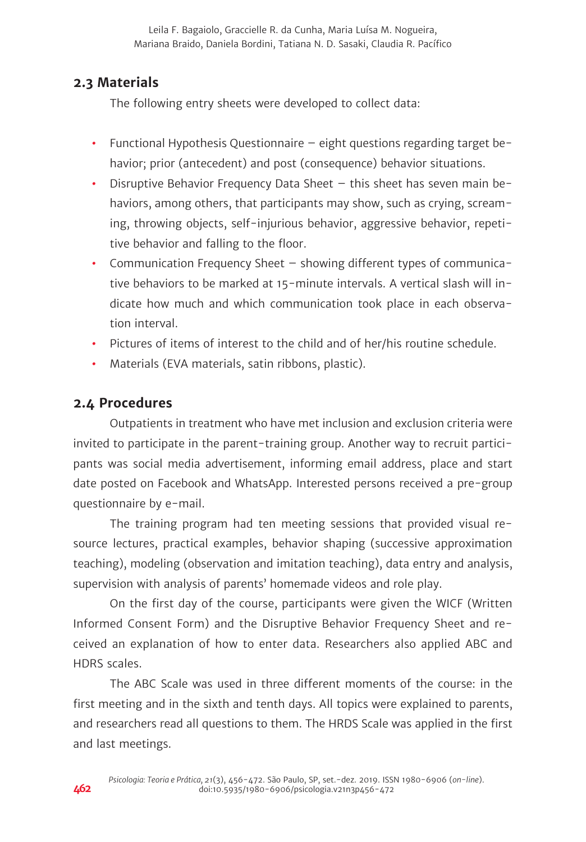Leila F. Bagaiolo, Graccielle R. da Cunha, Maria Luísa M. Nogueira, Mariana Braido, Daniela Bordini, Tatiana N. D. Sasaki, Claudia R. Pacífico

## **2.3 Materials**

The following entry sheets were developed to collect data:

- **•** Functional Hypothesis Questionnaire eight questions regarding target behavior; prior (antecedent) and post (consequence) behavior situations.
- **•** Disruptive Behavior Frequency Data Sheet this sheet has seven main behaviors, among others, that participants may show, such as crying, screaming, throwing objects, self-injurious behavior, aggressive behavior, repetitive behavior and falling to the floor.
- **•** Communication Frequency Sheet showing different types of communicative behaviors to be marked at 15-minute intervals. A vertical slash will indicate how much and which communication took place in each observation interval.
- **•** Pictures of items of interest to the child and of her/his routine schedule.
- **•** Materials (EVA materials, satin ribbons, plastic).

#### **2.4 Procedures**

Outpatients in treatment who have met inclusion and exclusion criteria were invited to participate in the parent-training group. Another way to recruit participants was social media advertisement, informing email address, place and start date posted on Facebook and WhatsApp. Interested persons received a pre-group questionnaire by e-mail.

The training program had ten meeting sessions that provided visual resource lectures, practical examples, behavior shaping (successive approximation teaching), modeling (observation and imitation teaching), data entry and analysis, supervision with analysis of parents' homemade videos and role play.

On the first day of the course, participants were given the WICF (Written Informed Consent Form) and the Disruptive Behavior Frequency Sheet and received an explanation of how to enter data. Researchers also applied ABC and HDRS scales.

The ABC Scale was used in three different moments of the course: in the first meeting and in the sixth and tenth days. All topics were explained to parents, and researchers read all questions to them. The HRDS Scale was applied in the first and last meetings.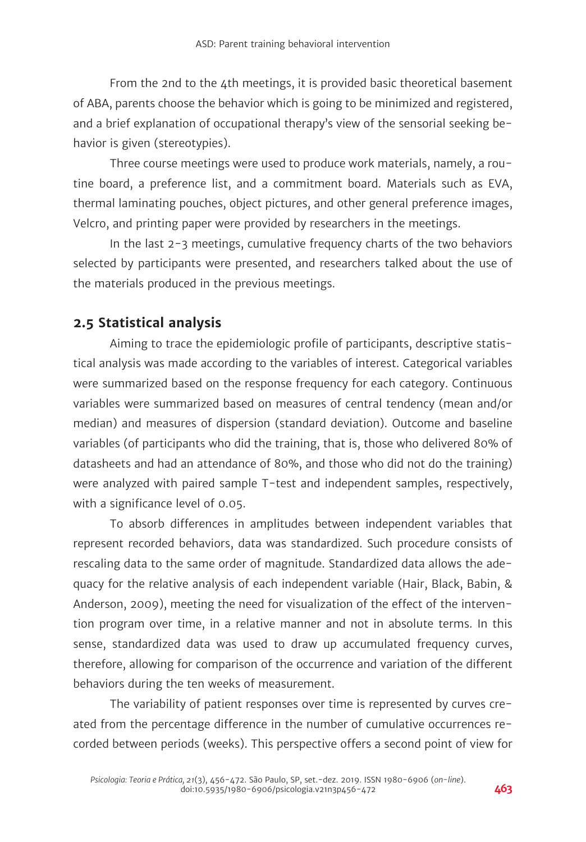From the 2nd to the 4th meetings, it is provided basic theoretical basement of ABA, parents choose the behavior which is going to be minimized and registered, and a brief explanation of occupational therapy's view of the sensorial seeking behavior is given (stereotypies).

Three course meetings were used to produce work materials, namely, a routine board, a preference list, and a commitment board. Materials such as EVA, thermal laminating pouches, object pictures, and other general preference images, Velcro, and printing paper were provided by researchers in the meetings.

In the last 2-3 meetings, cumulative frequency charts of the two behaviors selected by participants were presented, and researchers talked about the use of the materials produced in the previous meetings.

# **2.5 Statistical analysis**

Aiming to trace the epidemiologic profile of participants, descriptive statistical analysis was made according to the variables of interest. Categorical variables were summarized based on the response frequency for each category. Continuous variables were summarized based on measures of central tendency (mean and/or median) and measures of dispersion (standard deviation). Outcome and baseline variables (of participants who did the training, that is, those who delivered 80% of datasheets and had an attendance of 80%, and those who did not do the training) were analyzed with paired sample T-test and independent samples, respectively, with a significance level of 0.05.

To absorb differences in amplitudes between independent variables that represent recorded behaviors, data was standardized. Such procedure consists of rescaling data to the same order of magnitude. Standardized data allows the adequacy for the relative analysis of each independent variable (Hair, Black, Babin, & Anderson, 2009), meeting the need for visualization of the effect of the intervention program over time, in a relative manner and not in absolute terms. In this sense, standardized data was used to draw up accumulated frequency curves, therefore, allowing for comparison of the occurrence and variation of the different behaviors during the ten weeks of measurement.

The variability of patient responses over time is represented by curves created from the percentage difference in the number of cumulative occurrences recorded between periods (weeks). This perspective offers a second point of view for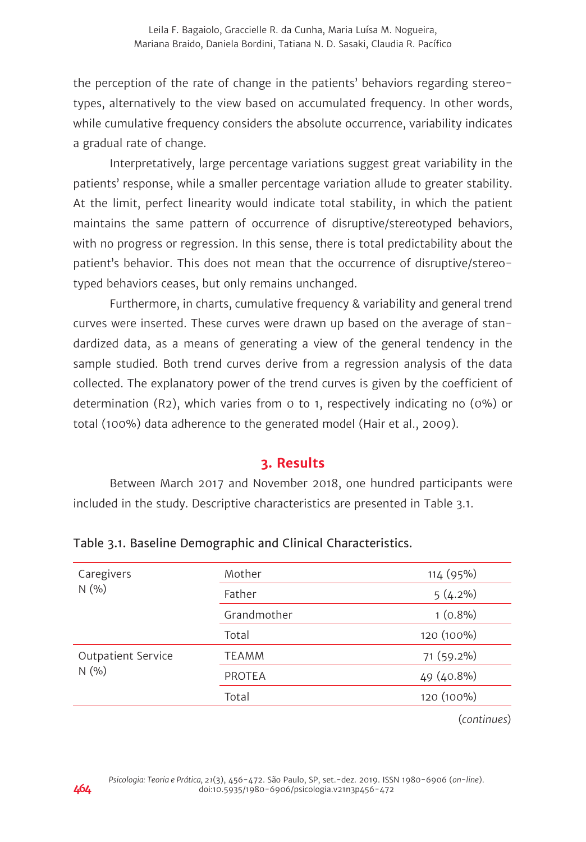the perception of the rate of change in the patients' behaviors regarding stereotypes, alternatively to the view based on accumulated frequency. In other words, while cumulative frequency considers the absolute occurrence, variability indicates a gradual rate of change.

Interpretatively, large percentage variations suggest great variability in the patients' response, while a smaller percentage variation allude to greater stability. At the limit, perfect linearity would indicate total stability, in which the patient maintains the same pattern of occurrence of disruptive/stereotyped behaviors, with no progress or regression. In this sense, there is total predictability about the patient's behavior. This does not mean that the occurrence of disruptive/stereotyped behaviors ceases, but only remains unchanged.

Furthermore, in charts, cumulative frequency & variability and general trend curves were inserted. These curves were drawn up based on the average of standardized data, as a means of generating a view of the general tendency in the sample studied. Both trend curves derive from a regression analysis of the data collected. The explanatory power of the trend curves is given by the coefficient of determination (R2), which varies from 0 to 1, respectively indicating no (0%) or total (100%) data adherence to the generated model (Hair et al., 2009).

## **3. Results**

Between March 2017 and November 2018, one hundred participants were included in the study. Descriptive characteristics are presented in Table 3.1.

| Mother        | 114 (95%)  |
|---------------|------------|
| Father        | $5(4.2\%)$ |
| Grandmother   | $1(0.8\%)$ |
| Total         | 120 (100%) |
| <b>TEAMM</b>  | 71 (59.2%) |
| <b>PROTEA</b> | 49 (40.8%) |
| Total         | 120 (100%) |
|               |            |

Table 3.1. Baseline Demographic and Clinical Characteristics.

(*continues*)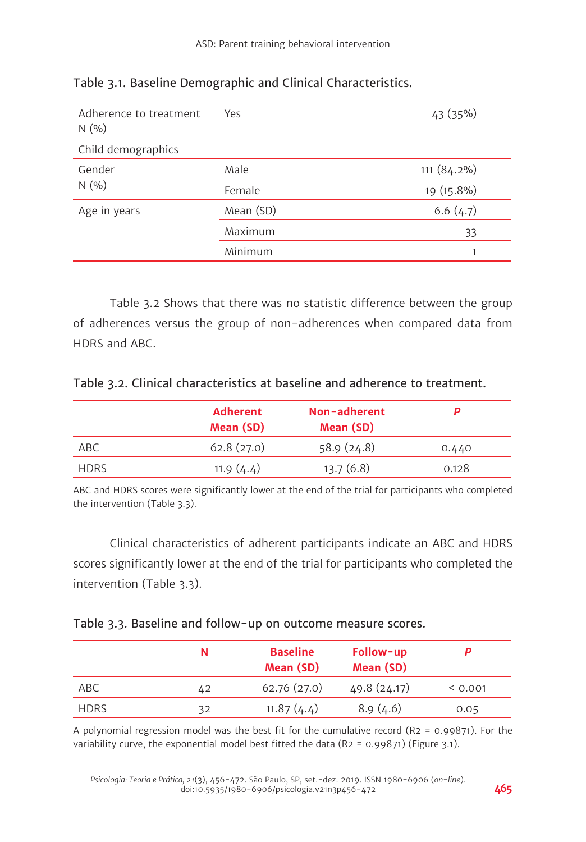| Adherence to treatment<br>N(96) | Yes       | 43 (35%)    |
|---------------------------------|-----------|-------------|
| Child demographics              |           |             |
| Gender<br>N(96)                 | Male      | 111 (84.2%) |
|                                 | Female    | 19 (15.8%)  |
| Age in years                    | Mean (SD) | 6.6(4.7)    |
|                                 | Maximum   | 33          |
|                                 | Minimum   | 1           |

Table 3.1. Baseline Demographic and Clinical Characteristics.

Table 3.2 Shows that there was no statistic difference between the group of adherences versus the group of non-adherences when compared data from HDRS and ABC.

|  | Table 3.2. Clinical characteristics at baseline and adherence to treatment. |  |  |  |
|--|-----------------------------------------------------------------------------|--|--|--|
|--|-----------------------------------------------------------------------------|--|--|--|

|             | <b>Adherent</b><br>Mean (SD) | Non-adherent<br>Mean (SD) |       |
|-------------|------------------------------|---------------------------|-------|
| ABC         | 62.8(27.0)                   | 58.9(24.8)                | 0.440 |
| <b>HDRS</b> | 11.9 $(4.4)$                 | 13.7(6.8)                 | 0.128 |

ABC and HDRS scores were significantly lower at the end of the trial for participants who completed the intervention (Table 3.3).

Clinical characteristics of adherent participants indicate an ABC and HDRS scores significantly lower at the end of the trial for participants who completed the intervention (Table 3.3).

|             | N  | <b>Baseline</b><br>Mean (SD) | Follow-up<br>Mean (SD) |         |
|-------------|----|------------------------------|------------------------|---------|
| ABC         | 42 | 62.76(27.0)                  | 49.8 (24.17)           | < 0.001 |
| <b>HDRS</b> | 32 | 11.87(4.4)                   | 8.9(4.6)               | 0.05    |

A polynomial regression model was the best fit for the cumulative record (R2 = 0.99871). For the variability curve, the exponential model best fitted the data (R2 = 0.99871) (Figure 3.1).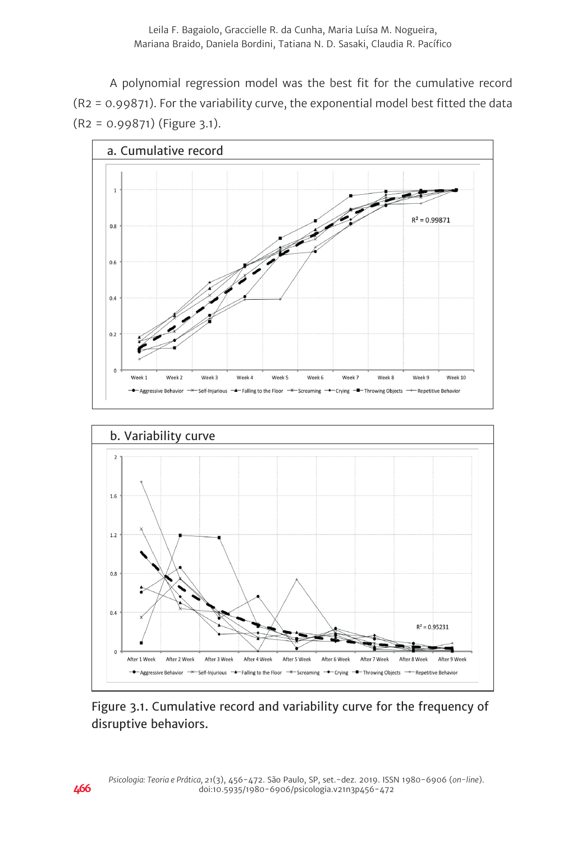A polynomial regression model was the best fit for the cumulative record (R2 = 0.99871). For the variability curve, the exponential model best fitted the data (R2 = 0.99871) (Figure 3.1).





Figure 3.1. Cumulative record and variability curve for the frequency of disruptive behaviors.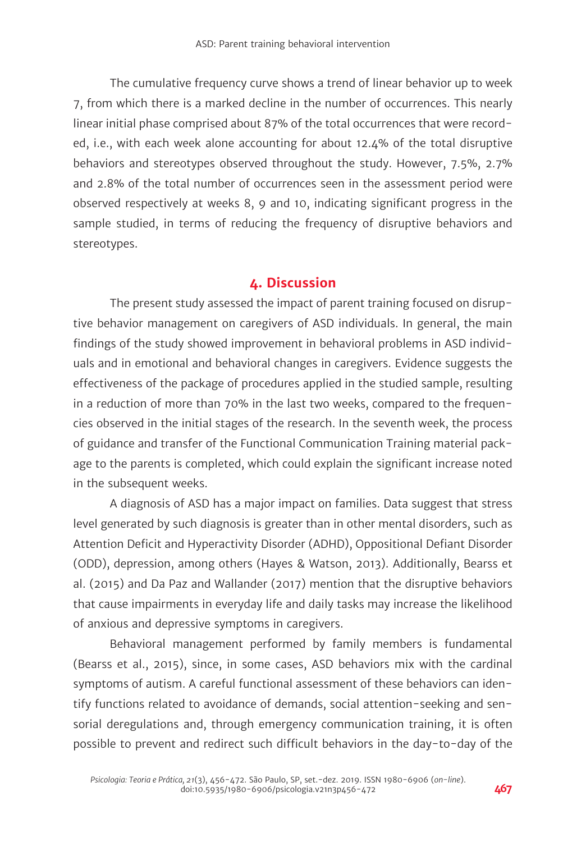The cumulative frequency curve shows a trend of linear behavior up to week 7, from which there is a marked decline in the number of occurrences. This nearly linear initial phase comprised about 87% of the total occurrences that were recorded, i.e., with each week alone accounting for about 12.4% of the total disruptive behaviors and stereotypes observed throughout the study. However, 7.5%, 2.7% and 2.8% of the total number of occurrences seen in the assessment period were observed respectively at weeks 8, 9 and 10, indicating significant progress in the sample studied, in terms of reducing the frequency of disruptive behaviors and stereotypes.

# **4. Discussion**

The present study assessed the impact of parent training focused on disruptive behavior management on caregivers of ASD individuals. In general, the main findings of the study showed improvement in behavioral problems in ASD individuals and in emotional and behavioral changes in caregivers. Evidence suggests the effectiveness of the package of procedures applied in the studied sample, resulting in a reduction of more than 70% in the last two weeks, compared to the frequencies observed in the initial stages of the research. In the seventh week, the process of guidance and transfer of the Functional Communication Training material package to the parents is completed, which could explain the significant increase noted in the subsequent weeks.

A diagnosis of ASD has a major impact on families. Data suggest that stress level generated by such diagnosis is greater than in other mental disorders, such as Attention Deficit and Hyperactivity Disorder (ADHD), Oppositional Defiant Disorder (ODD), depression, among others (Hayes & Watson, 2013). Additionally, Bearss et al. (2015) and Da Paz and Wallander (2017) mention that the disruptive behaviors that cause impairments in everyday life and daily tasks may increase the likelihood of anxious and depressive symptoms in caregivers.

Behavioral management performed by family members is fundamental (Bearss et al., 2015), since, in some cases, ASD behaviors mix with the cardinal symptoms of autism. A careful functional assessment of these behaviors can identify functions related to avoidance of demands, social attention-seeking and sensorial deregulations and, through emergency communication training, it is often possible to prevent and redirect such difficult behaviors in the day-to-day of the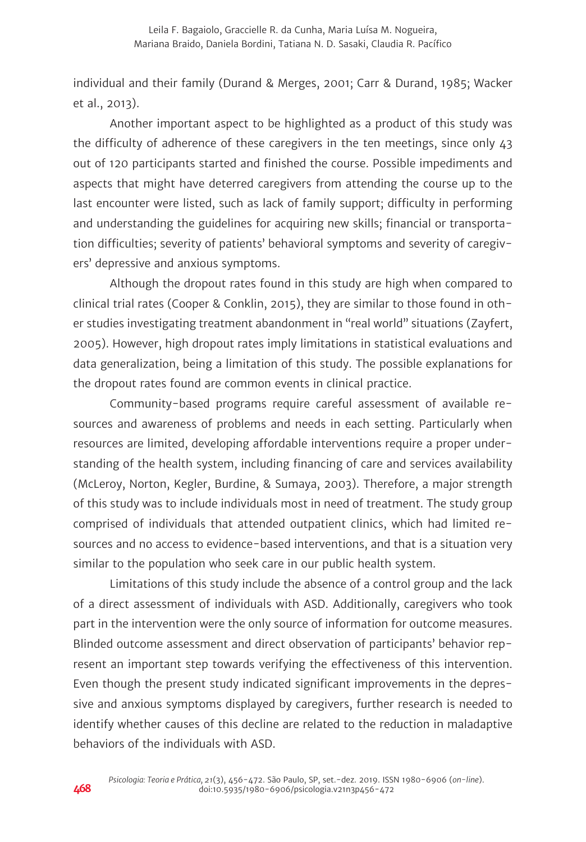individual and their family (Durand & Merges, 2001; Carr & Durand, 1985; Wacker et al., 2013).

Another important aspect to be highlighted as a product of this study was the difficulty of adherence of these caregivers in the ten meetings, since only 43 out of 120 participants started and finished the course. Possible impediments and aspects that might have deterred caregivers from attending the course up to the last encounter were listed, such as lack of family support; difficulty in performing and understanding the guidelines for acquiring new skills; financial or transportation difficulties; severity of patients' behavioral symptoms and severity of caregivers' depressive and anxious symptoms.

Although the dropout rates found in this study are high when compared to clinical trial rates (Cooper & Conklin, 2015), they are similar to those found in other studies investigating treatment abandonment in "real world" situations (Zayfert, 2005). However, high dropout rates imply limitations in statistical evaluations and data generalization, being a limitation of this study. The possible explanations for the dropout rates found are common events in clinical practice.

Community-based programs require careful assessment of available resources and awareness of problems and needs in each setting. Particularly when resources are limited, developing affordable interventions require a proper understanding of the health system, including financing of care and services availability (McLeroy, Norton, Kegler, Burdine, & Sumaya, 2003). Therefore, a major strength of this study was to include individuals most in need of treatment. The study group comprised of individuals that attended outpatient clinics, which had limited resources and no access to evidence-based interventions, and that is a situation very similar to the population who seek care in our public health system.

Limitations of this study include the absence of a control group and the lack of a direct assessment of individuals with ASD. Additionally, caregivers who took part in the intervention were the only source of information for outcome measures. Blinded outcome assessment and direct observation of participants' behavior represent an important step towards verifying the effectiveness of this intervention. Even though the present study indicated significant improvements in the depressive and anxious symptoms displayed by caregivers, further research is needed to identify whether causes of this decline are related to the reduction in maladaptive behaviors of the individuals with ASD.

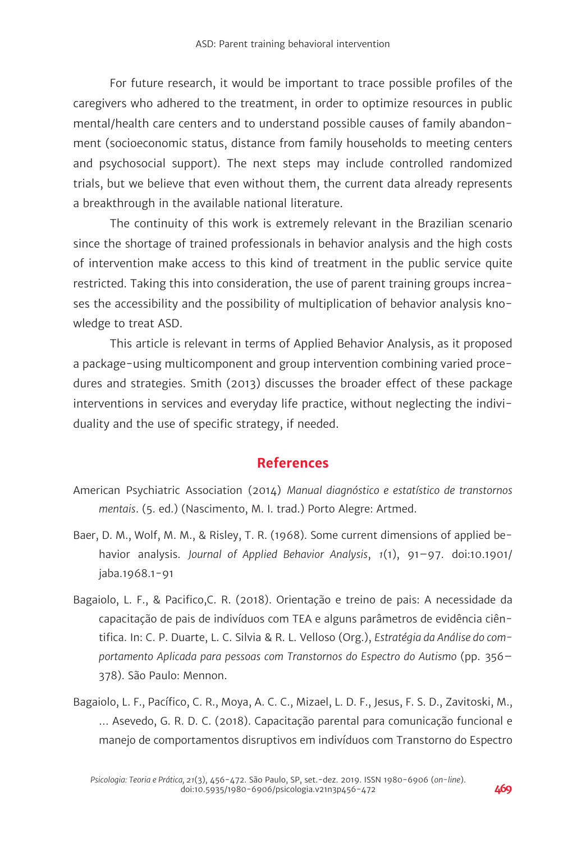For future research, it would be important to trace possible profiles of the caregivers who adhered to the treatment, in order to optimize resources in public mental/health care centers and to understand possible causes of family abandonment (socioeconomic status, distance from family households to meeting centers and psychosocial support). The next steps may include controlled randomized trials, but we believe that even without them, the current data already represents a breakthrough in the available national literature.

The continuity of this work is extremely relevant in the Brazilian scenario since the shortage of trained professionals in behavior analysis and the high costs of intervention make access to this kind of treatment in the public service quite restricted. Taking this into consideration, the use of parent training groups increases the accessibility and the possibility of multiplication of behavior analysis knowledge to treat ASD.

This article is relevant in terms of Applied Behavior Analysis, as it proposed a package-using multicomponent and group intervention combining varied procedures and strategies. Smith (2013) discusses the broader effect of these package interventions in services and everyday life practice, without neglecting the individuality and the use of specific strategy, if needed.

## **References**

- American Psychiatric Association (2014) *Manual diagnóstico e estatístico de transtornos mentais*. (5. ed.) (Nascimento, M. I. trad.) Porto Alegre: Artmed.
- Baer, D. M., Wolf, M. M., & Risley, T. R. (1968). Some current dimensions of applied behavior analysis. *Journal of Applied Behavior Analysis*, *1*(1), 91–97. doi:10.1901/ jaba.1968.1-91
- Bagaiolo, L. F., & Pacifico,C. R. (2018). Orientação e treino de pais: A necessidade da capacitação de pais de indivíduos com TEA e alguns parâmetros de evidência ciêntifica. In: C. P. Duarte, L. C. Silvia & R. L. Velloso (Org.), *Estratégia da Análise do comportamento Aplicada para pessoas com Transtornos do Espectro do Autismo* (pp. 356– 378). São Paulo: Mennon.
- Bagaiolo, L. F., Pacífico, C. R., Moya, A. C. C., Mizael, L. D. F., Jesus, F. S. D., Zavitoski, M., … Asevedo, G. R. D. C. (2018). Capacitação parental para comunicação funcional e manejo de comportamentos disruptivos em indivíduos com Transtorno do Espectro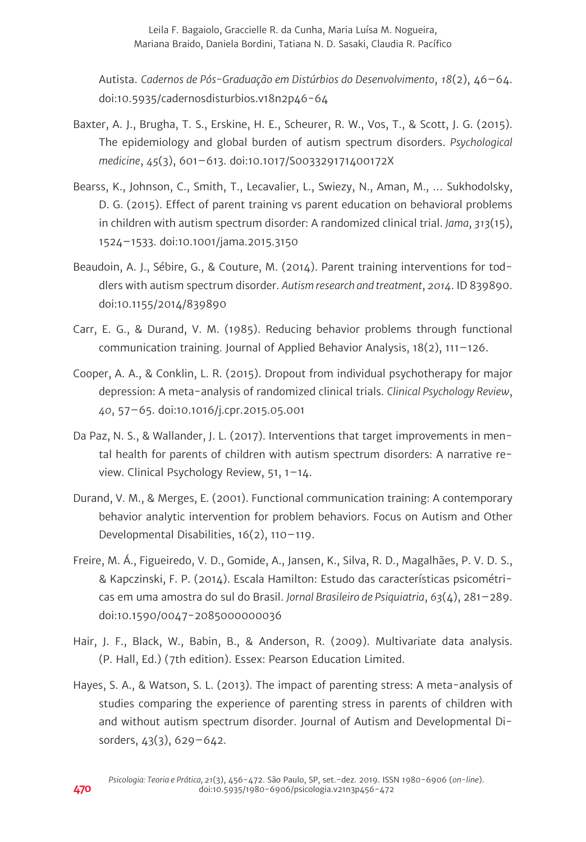Leila F. Bagaiolo, Graccielle R. da Cunha, Maria Luísa M. Nogueira, Mariana Braido, Daniela Bordini, Tatiana N. D. Sasaki, Claudia R. Pacífico

Autista. *Cadernos de Pós-Graduação em Distúrbios do Desenvolvimento*, *18*(2), 46–64. doi:10.5935/cadernosdisturbios.v18n2p46-64

- Baxter, A. J., Brugha, T. S., Erskine, H. E., Scheurer, R. W., Vos, T., & Scott, J. G. (2015). The epidemiology and global burden of autism spectrum disorders. *Psychological medicine*, *45*(3), 601–613. doi:10.1017/S003329171400172X
- Bearss, K., Johnson, C., Smith, T., Lecavalier, L., Swiezy, N., Aman, M., … Sukhodolsky, D. G. (2015). Effect of parent training vs parent education on behavioral problems in children with autism spectrum disorder: A randomized clinical trial. *Jama*, *313*(15), 1524–1533. doi:10.1001/jama.2015.3150
- Beaudoin, A. J., Sébire, G., & Couture, M. (2014). Parent training interventions for toddlers with autism spectrum disorder. *Autism research and treatment*, *2014*. ID 839890. doi:10.1155/2014/839890
- Carr, E. G., & Durand, V. M. (1985). Reducing behavior problems through functional communication training. Journal of Applied Behavior Analysis, 18(2), 111–126.
- Cooper, A. A., & Conklin, L. R. (2015). Dropout from individual psychotherapy for major depression: A meta-analysis of randomized clinical trials. *Clinical Psychology Review*, *40*, 57–65. doi:10.1016/j.cpr.2015.05.001
- Da Paz, N. S., & Wallander, J. L. (2017). Interventions that target improvements in mental health for parents of children with autism spectrum disorders: A narrative review. Clinical Psychology Review, 51, 1–14.
- Durand, V. M., & Merges, E. (2001). Functional communication training: A contemporary behavior analytic intervention for problem behaviors. Focus on Autism and Other Developmental Disabilities, 16(2), 110–119.
- Freire, M. Á., Figueiredo, V. D., Gomide, A., Jansen, K., Silva, R. D., Magalhães, P. V. D. S., & Kapczinski, F. P. (2014). Escala Hamilton: Estudo das características psicométricas em uma amostra do sul do Brasil. *Jornal Brasileiro de Psiquiatria*, *63*(4), 281–289. doi:10.1590/0047-2085000000036
- Hair, J. F., Black, W., Babin, B., & Anderson, R. (2009). Multivariate data analysis. (P. Hall, Ed.) (7th edition). Essex: Pearson Education Limited.
- Hayes, S. A., & Watson, S. L. (2013). The impact of parenting stress: A meta-analysis of studies comparing the experience of parenting stress in parents of children with and without autism spectrum disorder. Journal of Autism and Developmental Disorders, 43(3), 629–642.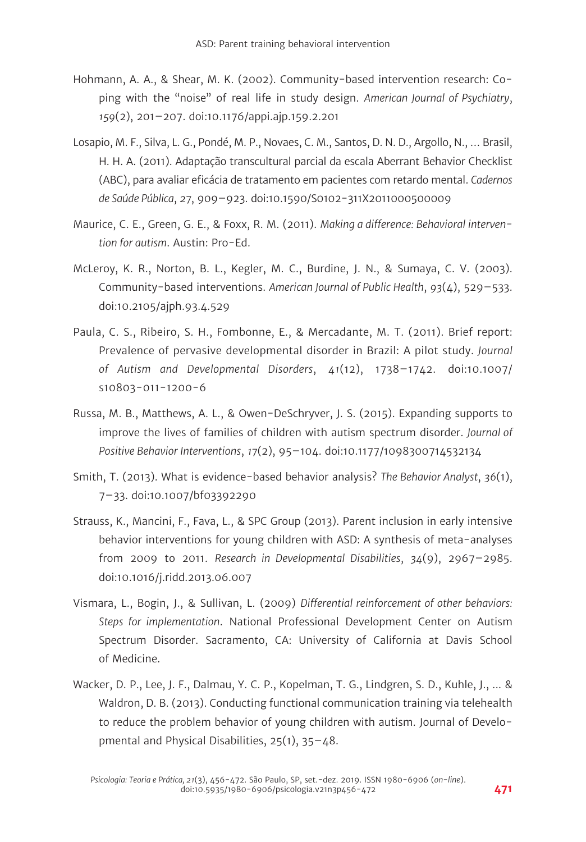- Hohmann, A. A., & Shear, M. K. (2002). Community-based intervention research: Coping with the "noise" of real life in study design. *American Journal of Psychiatry*, *159*(2), 201–207. doi:10.1176/appi.ajp.159.2.201
- Losapio, M. F., Silva, L. G., Pondé, M. P., Novaes, C. M., Santos, D. N. D., Argollo, N., … Brasil, H. H. A. (2011). Adaptação transcultural parcial da escala Aberrant Behavior Checklist (ABC), para avaliar eficácia de tratamento em pacientes com retardo mental. *Cadernos de Saúde Pública*, *27*, 909–923. doi:10.1590/S0102-311X2011000500009
- Maurice, C. E., Green, G. E., & Foxx, R. M. (2011). *Making a difference: Behavioral intervention for autism*. Austin: Pro-Ed.
- McLeroy, K. R., Norton, B. L., Kegler, M. C., Burdine, J. N., & Sumaya, C. V. (2003). Community-based interventions. *American Journal of Public Health*, *93*(4), 529–533. doi:10.2105/ajph.93.4.529
- Paula, C. S., Ribeiro, S. H., Fombonne, E., & Mercadante, M. T. (2011). Brief report: Prevalence of pervasive developmental disorder in Brazil: A pilot study. *Journal of Autism and Developmental Disorders*, *41*(12), 1738–1742. doi:10.1007/ s10803-011-1200-6
- Russa, M. B., Matthews, A. L., & Owen-DeSchryver, J. S. (2015). Expanding supports to improve the lives of families of children with autism spectrum disorder. *Journal of Positive Behavior Interventions*, *17*(2), 95–104. doi:10.1177/1098300714532134
- Smith, T. (2013). What is evidence-based behavior analysis? *The Behavior Analyst*, *36*(1), 7–33. doi:10.1007/bf03392290
- Strauss, K., Mancini, F., Fava, L., & SPC Group (2013). Parent inclusion in early intensive behavior interventions for young children with ASD: A synthesis of meta-analyses from 2009 to 2011. *Research in Developmental Disabilities*, *34*(9), 2967–2985. doi:10.1016/j.ridd.2013.06.007
- Vismara, L., Bogin, J., & Sullivan, L. (2009) *Differential reinforcement of other behaviors: Steps for implementation*. National Professional Development Center on Autism Spectrum Disorder. Sacramento, CA: University of California at Davis School of Medicine.
- Wacker, D. P., Lee, J. F., Dalmau, Y. C. P., Kopelman, T. G., Lindgren, S. D., Kuhle, J., ... & Waldron, D. B. (2013). Conducting functional communication training via telehealth to reduce the problem behavior of young children with autism. Journal of Developmental and Physical Disabilities, 25(1), 35–48.